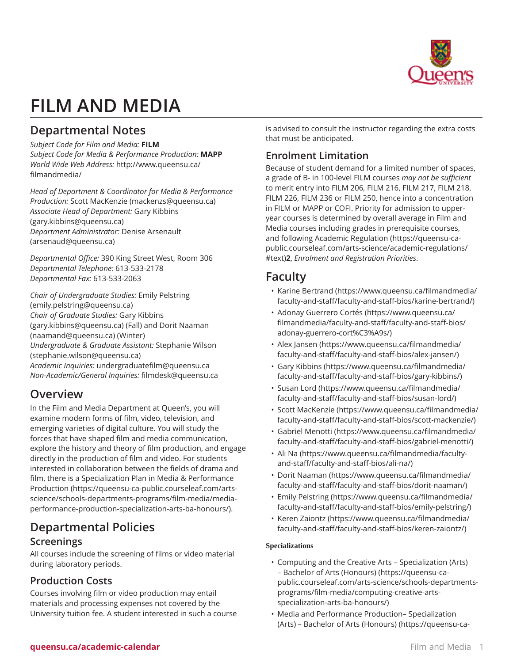

# **FILM AND MEDIA**

# **Departmental Notes**

*Subject Code for Film and Media:* **FILM** *Subject Code for Media & Performance Production:* **MAPP** *World Wide Web Address:* [http://www.queensu.ca/](http://www.queensu.ca/filmandmedia/) [filmandmedia/](http://www.queensu.ca/filmandmedia/)

*Head of Department & Coordinator for Media & Performance Production:* [Scott MacKenzie](mailto:mackenzs@queensu.ca) [\(mackenzs@queensu.ca\)](mackenzs@queensu.ca) *Associate Head of Department:* [Gary Kibbins](mailto:gary.kibbins@queensu.ca) (<gary.kibbins@queensu.ca>) *Department Administrator:* [Denise Arsenault](mailto:arsenaud@queensu.ca) (<arsenaud@queensu.ca>)

*Departmental Office:* 390 King Street West, Room 306 *Departmental Telephone:* 613-533-2178 *Departmental Fax:* 613-533-2063

*Chair of Undergraduate Studies:* [Emily Pelstring](mailto:emily.pelstring@queensu.ca) (<emily.pelstring@queensu.ca>) *Chair of Graduate Studies:* [Gary Kibbins](mailto:gary.kibbins@queensu.ca) (<gary.kibbins@queensu.ca>) (Fall) and [Dorit Naaman](mailto:naamand@queensu.ca) ([naamand@queensu.ca\)](naamand@queensu.ca) (Winter) *Undergraduate & Graduate Assistant:* [Stephanie Wilson](mailto:stephanie.wilson@queensu.ca) (<stephanie.wilson@queensu.ca>) *Academic Inquiries:* [undergraduatefilm@queensu.ca](mailto:undergraduatefilm@queensu.ca) *Non-Academic/General Inquiries:* [filmdesk@queensu.ca](mailto:filmdesk@queensu.ca)

# **Overview**

In the Film and Media Department at Queen's, you will examine modern forms of film, video, television, and emerging varieties of digital culture. You will study the forces that have shaped film and media communication, explore the history and theory of film production, and engage directly in the production of film and video. For students interested in collaboration between the fields of drama and film, there is a [Specialization Plan in Media & Performance](https://queensu-ca-public.courseleaf.com/arts-science/schools-departments-programs/film-media/media-performance-production-specialization-arts-ba-honours/) [Production](https://queensu-ca-public.courseleaf.com/arts-science/schools-departments-programs/film-media/media-performance-production-specialization-arts-ba-honours/) [\(https://queensu-ca-public.courseleaf.com/arts](https://queensu-ca-public.courseleaf.com/arts-science/schools-departments-programs/film-media/media-performance-production-specialization-arts-ba-honours/)[science/schools-departments-programs/film-media/media](https://queensu-ca-public.courseleaf.com/arts-science/schools-departments-programs/film-media/media-performance-production-specialization-arts-ba-honours/)[performance-production-specialization-arts-ba-honours/](https://queensu-ca-public.courseleaf.com/arts-science/schools-departments-programs/film-media/media-performance-production-specialization-arts-ba-honours/)).

# **Departmental Policies**

# **Screenings**

All courses include the screening of films or video material during laboratory periods.

# **Production Costs**

Courses involving film or video production may entail materials and processing expenses not covered by the University tuition fee. A student interested in such a course is advised to consult the instructor regarding the extra costs that must be anticipated.

# **Enrolment Limitation**

Because of student demand for a limited number of spaces, a grade of B- in 100-level FILM courses *may not be sufficient* to merit entry into FILM 206, FILM 216, FILM 217, FILM 218, FILM 226, FILM 236 or FILM 250, hence into a concentration in FILM or MAPP or COFI. Priority for admission to upperyear courses is determined by overall average in Film and Media courses including grades in prerequisite courses, and following [Academic Regulation](https://queensu-ca-public.courseleaf.com/arts-science/academic-regulations/#text) [\(https://queensu-ca](https://queensu-ca-public.courseleaf.com/arts-science/academic-regulations/#text)[public.courseleaf.com/arts-science/academic-regulations/](https://queensu-ca-public.courseleaf.com/arts-science/academic-regulations/#text) [#text\)](https://queensu-ca-public.courseleaf.com/arts-science/academic-regulations/#text)**2**, *Enrolment and Registration Priorities*.

# **Faculty**

- Karine [Bertrand](https://www.queensu.ca/filmandmedia/faculty-and-staff/faculty-and-staff-bios/karine-bertrand/) ([https://www.queensu.ca/filmandmedia/](https://www.queensu.ca/filmandmedia/faculty-and-staff/faculty-and-staff-bios/karine-bertrand/) [faculty-and-staff/faculty-and-staff-bios/karine-bertrand/\)](https://www.queensu.ca/filmandmedia/faculty-and-staff/faculty-and-staff-bios/karine-bertrand/)
- Adonay [Guerrero](https://www.queensu.ca/filmandmedia/faculty-and-staff/faculty-and-staff-bios/adonay-guerrero-cort%C3%A9s/) Cortés [\(https://www.queensu.ca/](https://www.queensu.ca/filmandmedia/faculty-and-staff/faculty-and-staff-bios/adonay-guerrero-cort%C3%A9s/) [filmandmedia/faculty-and-staff/faculty-and-staff-bios/](https://www.queensu.ca/filmandmedia/faculty-and-staff/faculty-and-staff-bios/adonay-guerrero-cort%C3%A9s/) [adonay-guerrero-cort%C3%A9s/](https://www.queensu.ca/filmandmedia/faculty-and-staff/faculty-and-staff-bios/adonay-guerrero-cort%C3%A9s/))
- Alex [Jansen](https://www.queensu.ca/filmandmedia/faculty-and-staff/faculty-and-staff-bios/alex-jansen/) ([https://www.queensu.ca/filmandmedia/](https://www.queensu.ca/filmandmedia/faculty-and-staff/faculty-and-staff-bios/alex-jansen/) [faculty-and-staff/faculty-and-staff-bios/alex-jansen/](https://www.queensu.ca/filmandmedia/faculty-and-staff/faculty-and-staff-bios/alex-jansen/))
- [Gary Kibbins](https://www.queensu.ca/filmandmedia/faculty-and-staff/faculty-and-staff-bios/gary-kibbins/) [\(https://www.queensu.ca/filmandmedia/](https://www.queensu.ca/filmandmedia/faculty-and-staff/faculty-and-staff-bios/gary-kibbins/) [faculty-and-staff/faculty-and-staff-bios/gary-kibbins/](https://www.queensu.ca/filmandmedia/faculty-and-staff/faculty-and-staff-bios/gary-kibbins/))
- [Susan](https://www.queensu.ca/filmandmedia/faculty-and-staff/faculty-and-staff-bios/susan-lord/) Lord ([https://www.queensu.ca/filmandmedia/](https://www.queensu.ca/filmandmedia/faculty-and-staff/faculty-and-staff-bios/susan-lord/) [faculty-and-staff/faculty-and-staff-bios/susan-lord/](https://www.queensu.ca/filmandmedia/faculty-and-staff/faculty-and-staff-bios/susan-lord/))
- [Scott MacKenzie](https://www.queensu.ca/filmandmedia/faculty-and-staff/faculty-and-staff-bios/scott-mackenzie/) ([https://www.queensu.ca/filmandmedia/](https://www.queensu.ca/filmandmedia/faculty-and-staff/faculty-and-staff-bios/scott-mackenzie/) [faculty-and-staff/faculty-and-staff-bios/scott-mackenzie/](https://www.queensu.ca/filmandmedia/faculty-and-staff/faculty-and-staff-bios/scott-mackenzie/))
- [Gabriel Menotti](https://www.queensu.ca/filmandmedia/faculty-and-staff/faculty-and-staff-bios/gabriel-menotti/) ([https://www.queensu.ca/filmandmedia/](https://www.queensu.ca/filmandmedia/faculty-and-staff/faculty-and-staff-bios/gabriel-menotti/) [faculty-and-staff/faculty-and-staff-bios/gabriel-menotti/](https://www.queensu.ca/filmandmedia/faculty-and-staff/faculty-and-staff-bios/gabriel-menotti/))
- [Ali Na](https://www.queensu.ca/filmandmedia/faculty-and-staff/faculty-and-staff-bios/ali-na/) ([https://www.queensu.ca/filmandmedia/faculty](https://www.queensu.ca/filmandmedia/faculty-and-staff/faculty-and-staff-bios/ali-na/)[and-staff/faculty-and-staff-bios/ali-na/](https://www.queensu.ca/filmandmedia/faculty-and-staff/faculty-and-staff-bios/ali-na/))
- [Dorit Naaman](https://www.queensu.ca/filmandmedia/faculty-and-staff/faculty-and-staff-bios/dorit-naaman/) [\(https://www.queensu.ca/filmandmedia/](https://www.queensu.ca/filmandmedia/faculty-and-staff/faculty-and-staff-bios/dorit-naaman/) [faculty-and-staff/faculty-and-staff-bios/dorit-naaman/](https://www.queensu.ca/filmandmedia/faculty-and-staff/faculty-and-staff-bios/dorit-naaman/))
- [Emily Pelstring](https://www.queensu.ca/filmandmedia/faculty-and-staff/faculty-and-staff-bios/emily-pelstring/) ([https://www.queensu.ca/filmandmedia/](https://www.queensu.ca/filmandmedia/faculty-and-staff/faculty-and-staff-bios/emily-pelstring/) [faculty-and-staff/faculty-and-staff-bios/emily-pelstring/\)](https://www.queensu.ca/filmandmedia/faculty-and-staff/faculty-and-staff-bios/emily-pelstring/)
- Keren [Zaiontz](https://www.queensu.ca/filmandmedia/faculty-and-staff/faculty-and-staff-bios/keren-zaiontz/) ([https://www.queensu.ca/filmandmedia/](https://www.queensu.ca/filmandmedia/faculty-and-staff/faculty-and-staff-bios/keren-zaiontz/) [faculty-and-staff/faculty-and-staff-bios/keren-zaiontz/](https://www.queensu.ca/filmandmedia/faculty-and-staff/faculty-and-staff-bios/keren-zaiontz/))

# **Specializations**

- Computing and the Creative Arts [Specialization](https://queensu-ca-public.courseleaf.com/arts-science/schools-departments-programs/film-media/computing-creative-arts-specialization-arts-ba-honours/) (Arts) [– Bachelor of Arts \(Honours\)](https://queensu-ca-public.courseleaf.com/arts-science/schools-departments-programs/film-media/computing-creative-arts-specialization-arts-ba-honours/) [\(https://queensu-ca](https://queensu-ca-public.courseleaf.com/arts-science/schools-departments-programs/film-media/computing-creative-arts-specialization-arts-ba-honours/)[public.courseleaf.com/arts-science/schools-departments](https://queensu-ca-public.courseleaf.com/arts-science/schools-departments-programs/film-media/computing-creative-arts-specialization-arts-ba-honours/)[programs/film-media/computing-creative-arts](https://queensu-ca-public.courseleaf.com/arts-science/schools-departments-programs/film-media/computing-creative-arts-specialization-arts-ba-honours/)[specialization-arts-ba-honours/\)](https://queensu-ca-public.courseleaf.com/arts-science/schools-departments-programs/film-media/computing-creative-arts-specialization-arts-ba-honours/)
- Media and Performance Production– [Specialization](https://queensu-ca-public.courseleaf.com/arts-science/schools-departments-programs/film-media/media-performance-production-specialization-arts-ba-honours/) [\(Arts\) – Bachelor of Arts \(Honours\)](https://queensu-ca-public.courseleaf.com/arts-science/schools-departments-programs/film-media/media-performance-production-specialization-arts-ba-honours/) ([https://queensu-ca-](https://queensu-ca-public.courseleaf.com/arts-science/schools-departments-programs/film-media/media-performance-production-specialization-arts-ba-honours/)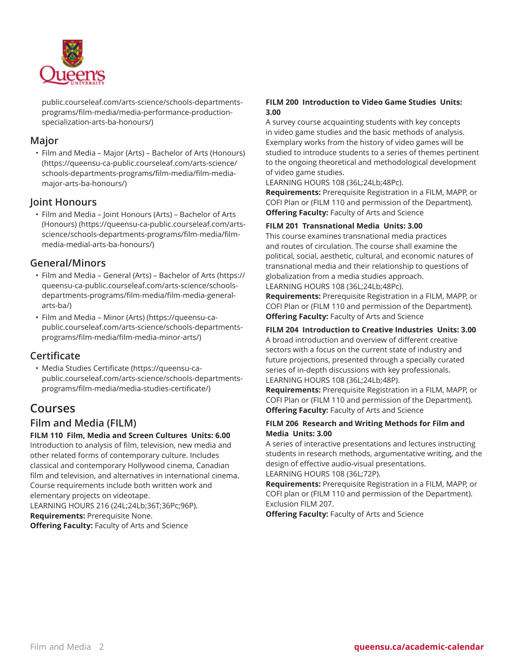

[public.courseleaf.com/arts-science/schools-departments](https://queensu-ca-public.courseleaf.com/arts-science/schools-departments-programs/film-media/media-performance-production-specialization-arts-ba-honours/)[programs/film-media/media-performance-production](https://queensu-ca-public.courseleaf.com/arts-science/schools-departments-programs/film-media/media-performance-production-specialization-arts-ba-honours/)[specialization-arts-ba-honours/\)](https://queensu-ca-public.courseleaf.com/arts-science/schools-departments-programs/film-media/media-performance-production-specialization-arts-ba-honours/)

# **Major**

• [Film and Media – Major \(Arts\) – Bachelor of Arts \(Honours\)](https://queensu-ca-public.courseleaf.com/arts-science/schools-departments-programs/film-media/film-media-major-arts-ba-honours/) ([https://queensu-ca-public.courseleaf.com/arts-science/](https://queensu-ca-public.courseleaf.com/arts-science/schools-departments-programs/film-media/film-media-major-arts-ba-honours/) [schools-departments-programs/film-media/film-media](https://queensu-ca-public.courseleaf.com/arts-science/schools-departments-programs/film-media/film-media-major-arts-ba-honours/)[major-arts-ba-honours/\)](https://queensu-ca-public.courseleaf.com/arts-science/schools-departments-programs/film-media/film-media-major-arts-ba-honours/)

# **Joint Honours**

• [Film and Media – Joint Honours \(Arts\) – Bachelor of Arts](https://queensu-ca-public.courseleaf.com/arts-science/schools-departments-programs/film-media/film-media-medial-arts-ba-honours/) [\(Honours\)](https://queensu-ca-public.courseleaf.com/arts-science/schools-departments-programs/film-media/film-media-medial-arts-ba-honours/) ([https://queensu-ca-public.courseleaf.com/arts](https://queensu-ca-public.courseleaf.com/arts-science/schools-departments-programs/film-media/film-media-medial-arts-ba-honours/)[science/schools-departments-programs/film-media/film](https://queensu-ca-public.courseleaf.com/arts-science/schools-departments-programs/film-media/film-media-medial-arts-ba-honours/)[media-medial-arts-ba-honours/\)](https://queensu-ca-public.courseleaf.com/arts-science/schools-departments-programs/film-media/film-media-medial-arts-ba-honours/)

# **General/Minors**

- Film and Media General (Arts) [Bachelor](https://queensu-ca-public.courseleaf.com/arts-science/schools-departments-programs/film-media/film-media-general-arts-ba/) of Arts ([https://](https://queensu-ca-public.courseleaf.com/arts-science/schools-departments-programs/film-media/film-media-general-arts-ba/) [queensu-ca-public.courseleaf.com/arts-science/schools](https://queensu-ca-public.courseleaf.com/arts-science/schools-departments-programs/film-media/film-media-general-arts-ba/)[departments-programs/film-media/film-media-general](https://queensu-ca-public.courseleaf.com/arts-science/schools-departments-programs/film-media/film-media-general-arts-ba/)[arts-ba/\)](https://queensu-ca-public.courseleaf.com/arts-science/schools-departments-programs/film-media/film-media-general-arts-ba/)
- [Film and Media Minor \(Arts\)](https://queensu-ca-public.courseleaf.com/arts-science/schools-departments-programs/film-media/film-media-minor-arts/) ([https://queensu-ca](https://queensu-ca-public.courseleaf.com/arts-science/schools-departments-programs/film-media/film-media-minor-arts/)[public.courseleaf.com/arts-science/schools-departments](https://queensu-ca-public.courseleaf.com/arts-science/schools-departments-programs/film-media/film-media-minor-arts/)[programs/film-media/film-media-minor-arts/\)](https://queensu-ca-public.courseleaf.com/arts-science/schools-departments-programs/film-media/film-media-minor-arts/)

# **Certificate**

• [Media Studies Certificate](https://queensu-ca-public.courseleaf.com/arts-science/schools-departments-programs/film-media/media-studies-certificate/) ([https://queensu-ca](https://queensu-ca-public.courseleaf.com/arts-science/schools-departments-programs/film-media/media-studies-certificate/)[public.courseleaf.com/arts-science/schools-departments](https://queensu-ca-public.courseleaf.com/arts-science/schools-departments-programs/film-media/media-studies-certificate/)[programs/film-media/media-studies-certificate/\)](https://queensu-ca-public.courseleaf.com/arts-science/schools-departments-programs/film-media/media-studies-certificate/)

# **Courses**

# **Film and Media (FILM)**

# **FILM 110 Film, Media and Screen Cultures Units: 6.00**

Introduction to analysis of film, television, new media and other related forms of contemporary culture. Includes classical and contemporary Hollywood cinema, Canadian film and television, and alternatives in international cinema. Course requirements include both written work and elementary projects on videotape. LEARNING HOURS 216 (24L;24Lb;36T;36Pc;96P). **Requirements:** Prerequisite None. **Offering Faculty:** Faculty of Arts and Science

# **FILM 200 Introduction to Video Game Studies Units: 3.00**

A survey course acquainting students with key concepts in video game studies and the basic methods of analysis. Exemplary works from the history of video games will be studied to introduce students to a series of themes pertinent to the ongoing theoretical and methodological development of video game studies.

LEARNING HOURS 108 (36L;24Lb;48Pc).

**Requirements:** Prerequisite Registration in a FILM, MAPP, or COFI Plan or (FILM 110 and permission of the Department). **Offering Faculty:** Faculty of Arts and Science

# **FILM 201 Transnational Media Units: 3.00**

This course examines transnational media practices and routes of circulation. The course shall examine the political, social, aesthetic, cultural, and economic natures of transnational media and their relationship to questions of globalization from a media studies approach. LEARNING HOURS 108 (36L;24Lb;48Pc).

**Requirements:** Prerequisite Registration in a FILM, MAPP, or COFI Plan or (FILM 110 and permission of the Department). **Offering Faculty:** Faculty of Arts and Science

#### **FILM 204 Introduction to Creative Industries Units: 3.00**

A broad introduction and overview of different creative sectors with a focus on the current state of industry and future projections, presented through a specially curated series of in-depth discussions with key professionals. LEARNING HOURS 108 (36L;24Lb;48P).

**Requirements:** Prerequisite Registration in a FILM, MAPP, or COFI Plan or (FILM 110 and permission of the Department). **Offering Faculty:** Faculty of Arts and Science

## **FILM 206 Research and Writing Methods for Film and Media Units: 3.00**

A series of interactive presentations and lectures instructing students in research methods, argumentative writing, and the design of effective audio-visual presentations. LEARNING HOURS 108 (36L;72P).

**Requirements:** Prerequisite Registration in a FILM, MAPP, or COFI plan or (FILM 110 and permission of the Department). Exclusion FILM 207.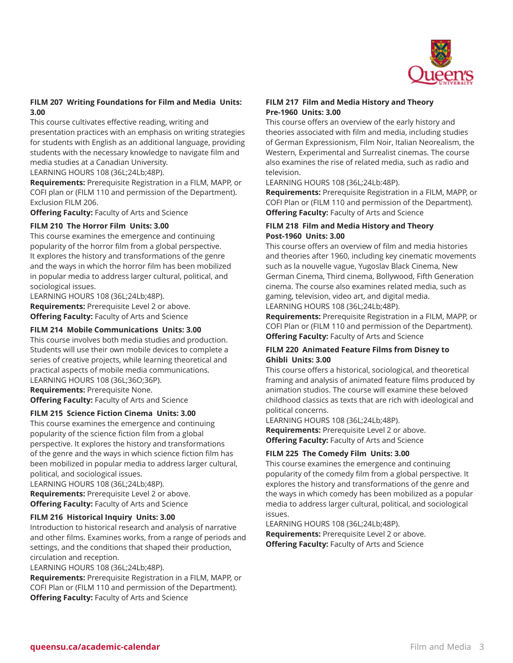

#### **FILM 207 Writing Foundations for Film and Media Units: 3.00**

This course cultivates effective reading, writing and presentation practices with an emphasis on writing strategies for students with English as an additional language, providing students with the necessary knowledge to navigate film and media studies at a Canadian University.

LEARNING HOURS 108 (36L;24Lb;48P).

**Requirements:** Prerequisite Registration in a FILM, MAPP, or COFI plan or (FILM 110 and permission of the Department). Exclusion FILM 206.

**Offering Faculty:** Faculty of Arts and Science

#### **FILM 210 The Horror Film Units: 3.00**

This course examines the emergence and continuing popularity of the horror film from a global perspective. It explores the history and transformations of the genre and the ways in which the horror film has been mobilized in popular media to address larger cultural, political, and sociological issues.

LEARNING HOURS 108 (36L;24Lb;48P). **Requirements:** Prerequisite Level 2 or above. **Offering Faculty:** Faculty of Arts and Science

#### **FILM 214 Mobile Communications Units: 3.00**

This course involves both media studies and production. Students will use their own mobile devices to complete a series of creative projects, while learning theoretical and practical aspects of mobile media communications. LEARNING HOURS 108 (36L;36O;36P).

**Requirements:** Prerequisite None. **Offering Faculty:** Faculty of Arts and Science

#### **FILM 215 Science Fiction Cinema Units: 3.00**

This course examines the emergence and continuing popularity of the science fiction film from a global perspective. It explores the history and transformations of the genre and the ways in which science fiction film has been mobilized in popular media to address larger cultural, political, and sociological issues.

LEARNING HOURS 108 (36L;24Lb;48P). **Requirements:** Prerequisite Level 2 or above. **Offering Faculty:** Faculty of Arts and Science

#### **FILM 216 Historical Inquiry Units: 3.00**

Introduction to historical research and analysis of narrative and other films. Examines works, from a range of periods and settings, and the conditions that shaped their production, circulation and reception.

LEARNING HOURS 108 (36L;24Lb;48P).

**Requirements:** Prerequisite Registration in a FILM, MAPP, or COFI Plan or (FILM 110 and permission of the Department). **Offering Faculty:** Faculty of Arts and Science

#### **FILM 217 Film and Media History and Theory Pre-1960 Units: 3.00**

This course offers an overview of the early history and theories associated with film and media, including studies of German Expressionism, Film Noir, Italian Neorealism, the Western, Experimental and Surrealist cinemas. The course also examines the rise of related media, such as radio and television.

LEARNING HOURS 108 (36L;24Lb:48P).

**Requirements:** Prerequisite Registration in a FILM, MAPP, or COFI Plan or (FILM 110 and permission of the Department). **Offering Faculty:** Faculty of Arts and Science

#### **FILM 218 Film and Media History and Theory Post-1960 Units: 3.00**

This course offers an overview of film and media histories and theories after 1960, including key cinematic movements such as la nouvelle vague, Yugoslav Black Cinema, New German Cinema, Third cinema, Bollywood, Fifth Generation cinema. The course also examines related media, such as gaming, television, video art, and digital media. LEARNING HOURS 108 (36L;24Lb;48P).

**Requirements:** Prerequisite Registration in a FILM, MAPP, or COFI Plan or (FILM 110 and permission of the Department). **Offering Faculty:** Faculty of Arts and Science

#### **FILM 220 Animated Feature Films from Disney to Ghibli Units: 3.00**

This course offers a historical, sociological, and theoretical framing and analysis of animated feature films produced by animation studios. The course will examine these beloved childhood classics as texts that are rich with ideological and political concerns.

LEARNING HOURS 108 (36L;24Lb;48P).

**Requirements:** Prerequisite Level 2 or above. **Offering Faculty:** Faculty of Arts and Science

#### **FILM 225 The Comedy Film Units: 3.00**

This course examines the emergence and continuing popularity of the comedy film from a global perspective. It explores the history and transformations of the genre and the ways in which comedy has been mobilized as a popular media to address larger cultural, political, and sociological issues.

LEARNING HOURS 108 (36L;24Lb;48P). **Requirements:** Prerequisite Level 2 or above. **Offering Faculty:** Faculty of Arts and Science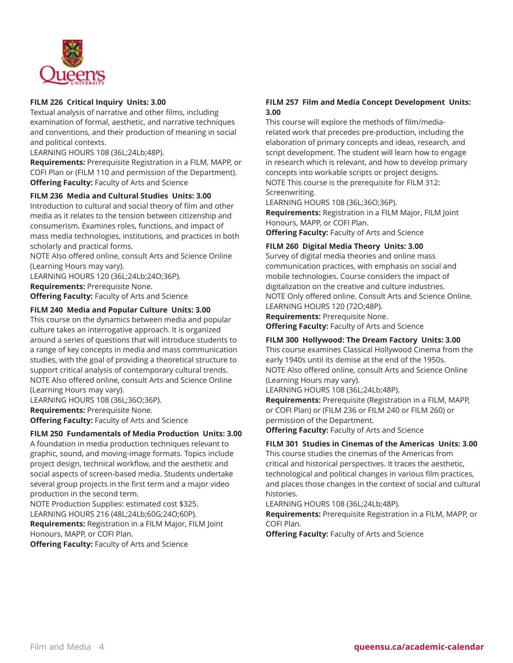

## **FILM 226 Critical Inquiry Units: 3.00**

Textual analysis of narrative and other films, including examination of formal, aesthetic, and narrative techniques and conventions, and their production of meaning in social and political contexts.

LEARNING HOURS 108 (36L;24Lb;48P).

**Requirements:** Prerequisite Registration in a FILM, MAPP, or COFI Plan or (FILM 110 and permission of the Department). **Offering Faculty:** Faculty of Arts and Science

#### **FILM 236 Media and Cultural Studies Units: 3.00**

Introduction to cultural and social theory of film and other media as it relates to the tension between citizenship and consumerism. Examines roles, functions, and impact of mass media technologies, institutions, and practices in both scholarly and practical forms.

NOTE Also offered online, consult Arts and Science Online (Learning Hours may vary).

LEARNING HOURS 120 (36L;24Lb;24O;36P). **Requirements:** Prerequisite None. **Offering Faculty:** Faculty of Arts and Science

#### **FILM 240 Media and Popular Culture Units: 3.00**

This course on the dynamics between media and popular culture takes an interrogative approach. It is organized around a series of questions that will introduce students to a range of key concepts in media and mass communication studies, with the goal of providing a theoretical structure to support critical analysis of contemporary cultural trends. NOTE Also offered online, consult Arts and Science Online (Learning Hours may vary).

LEARNING HOURS 108 (36L;36O;36P). **Requirements:** Prerequisite None. **Offering Faculty:** Faculty of Arts and Science

#### **FILM 250 Fundamentals of Media Production Units: 3.00**

A foundation in media production techniques relevant to graphic, sound, and moving-image formats. Topics include project design, technical workflow, and the aesthetic and social aspects of screen-based media. Students undertake several group projects in the first term and a major video production in the second term.

NOTE Production Supplies: estimated cost \$325. LEARNING HOURS 216 (48L;24Lb;60G;24O;60P).

**Requirements:** Registration in a FILM Major, FILM Joint Honours, MAPP, or COFI Plan.

**Offering Faculty:** Faculty of Arts and Science

# **FILM 257 Film and Media Concept Development Units: 3.00**

This course will explore the methods of film/mediarelated work that precedes pre-production, including the elaboration of primary concepts and ideas, research, and script development. The student will learn how to engage in research which is relevant, and how to develop primary concepts into workable scripts or project designs. NOTE This course is the prerequisite for FILM 312: Screenwriting.

LEARNING HOURS 108 (36L;36O;36P).

**Requirements:** Registration in a FILM Major, FILM Joint Honours, MAPP, or COFI Plan.

**Offering Faculty:** Faculty of Arts and Science

#### **FILM 260 Digital Media Theory Units: 3.00**

Survey of digital media theories and online mass communication practices, with emphasis on social and mobile technologies. Course considers the impact of digitalization on the creative and culture industries. NOTE Only offered online. Consult Arts and Science Online. LEARNING HOURS 120 (72O;48P).

**Requirements:** Prerequisite None. **Offering Faculty:** Faculty of Arts and Science

#### **FILM 300 Hollywood: The Dream Factory Units: 3.00**

This course examines Classical Hollywood Cinema from the early 1940s until its demise at the end of the 1950s. NOTE Also offered online, consult Arts and Science Online (Learning Hours may vary).

LEARNING HOURS 108 (36L;24Lb;48P).

**Requirements:** Prerequisite (Registration in a FILM, MAPP, or COFI Plan) or (FILM 236 or FILM 240 or FILM 260) or permission of the Department.

**Offering Faculty:** Faculty of Arts and Science

#### **FILM 301 Studies in Cinemas of the Americas Units: 3.00**

This course studies the cinemas of the Americas from critical and historical perspectives. It traces the aesthetic, technological and political changes in various film practices, and places those changes in the context of social and cultural histories.

LEARNING HOURS 108 (36L;24Lb;48P).

**Requirements:** Prerequisite Registration in a FILM, MAPP, or COFI Plan.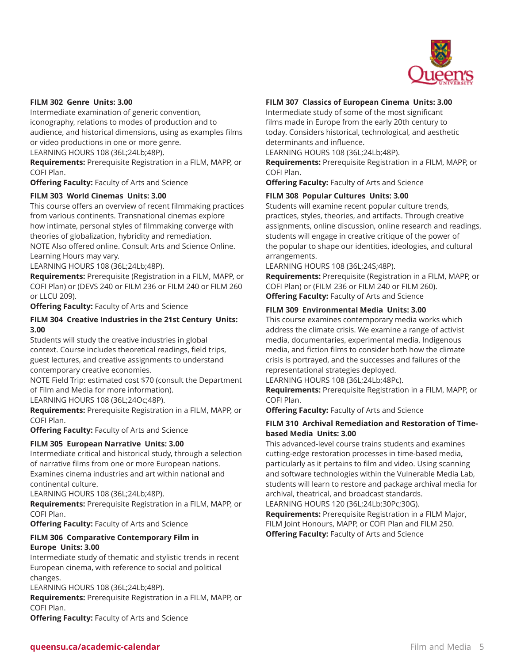

#### **FILM 302 Genre Units: 3.00**

Intermediate examination of generic convention, iconography, relations to modes of production and to audience, and historical dimensions, using as examples films or video productions in one or more genre.

LEARNING HOURS 108 (36L;24Lb;48P).

**Requirements:** Prerequisite Registration in a FILM, MAPP, or COFI Plan.

**Offering Faculty:** Faculty of Arts and Science

#### **FILM 303 World Cinemas Units: 3.00**

This course offers an overview of recent filmmaking practices from various continents. Transnational cinemas explore how intimate, personal styles of filmmaking converge with theories of globalization, hybridity and remediation. NOTE Also offered online. Consult Arts and Science Online.

Learning Hours may vary.

LEARNING HOURS 108 (36L;24Lb;48P).

**Requirements:** Prerequisite (Registration in a FILM, MAPP, or COFI Plan) or (DEVS 240 or FILM 236 or FILM 240 or FILM 260 or LLCU 209).

**Offering Faculty:** Faculty of Arts and Science

## **FILM 304 Creative Industries in the 21st Century Units: 3.00**

Students will study the creative industries in global context. Course includes theoretical readings, field trips, guest lectures, and creative assignments to understand contemporary creative economies.

NOTE Field Trip: estimated cost \$70 (consult the Department of Film and Media for more information).

LEARNING HOURS 108 (36L;24Oc;48P).

**Requirements:** Prerequisite Registration in a FILM, MAPP, or COFI Plan.

**Offering Faculty:** Faculty of Arts and Science

#### **FILM 305 European Narrative Units: 3.00**

Intermediate critical and historical study, through a selection of narrative films from one or more European nations. Examines cinema industries and art within national and continental culture.

LEARNING HOURS 108 (36L;24Lb;48P).

**Requirements:** Prerequisite Registration in a FILM, MAPP, or COFI Plan.

**Offering Faculty:** Faculty of Arts and Science

## **FILM 306 Comparative Contemporary Film in Europe Units: 3.00**

Intermediate study of thematic and stylistic trends in recent European cinema, with reference to social and political changes.

LEARNING HOURS 108 (36L;24Lb;48P).

**Requirements:** Prerequisite Registration in a FILM, MAPP, or COFI Plan.

**Offering Faculty:** Faculty of Arts and Science

#### **FILM 307 Classics of European Cinema Units: 3.00**

Intermediate study of some of the most significant films made in Europe from the early 20th century to today. Considers historical, technological, and aesthetic determinants and influence.

LEARNING HOURS 108 (36L;24Lb;48P).

**Requirements:** Prerequisite Registration in a FILM, MAPP, or COFI Plan.

**Offering Faculty:** Faculty of Arts and Science

#### **FILM 308 Popular Cultures Units: 3.00**

Students will examine recent popular culture trends, practices, styles, theories, and artifacts. Through creative assignments, online discussion, online research and readings, students will engage in creative critique of the power of the popular to shape our identities, ideologies, and cultural arrangements.

LEARNING HOURS 108 (36L;24S;48P).

**Requirements:** Prerequisite (Registration in a FILM, MAPP, or COFI Plan) or (FILM 236 or FILM 240 or FILM 260). **Offering Faculty:** Faculty of Arts and Science

#### **FILM 309 Environmental Media Units: 3.00**

This course examines contemporary media works which address the climate crisis. We examine a range of activist media, documentaries, experimental media, Indigenous media, and fiction films to consider both how the climate crisis is portrayed, and the successes and failures of the representational strategies deployed.

LEARNING HOURS 108 (36L;24Lb;48Pc).

**Requirements:** Prerequisite Registration in a FILM, MAPP, or COFI Plan.

**Offering Faculty:** Faculty of Arts and Science

#### **FILM 310 Archival Remediation and Restoration of Timebased Media Units: 3.00**

This advanced-level course trains students and examines cutting-edge restoration processes in time-based media, particularly as it pertains to film and video. Using scanning and software technologies within the Vulnerable Media Lab, students will learn to restore and package archival media for archival, theatrical, and broadcast standards.

LEARNING HOURS 120 (36L;24Lb;30Pc;30G).

**Requirements:** Prerequisite Registration in a FILM Major, FILM Joint Honours, MAPP, or COFI Plan and FILM 250. **Offering Faculty:** Faculty of Arts and Science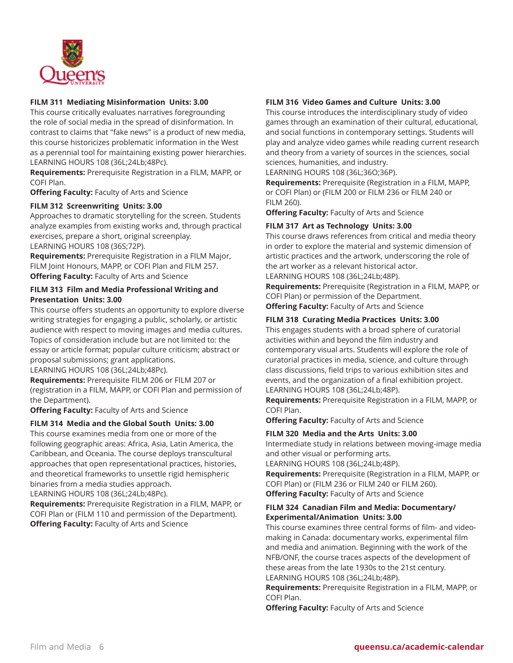

#### **FILM 311 Mediating Misinformation Units: 3.00**

This course critically evaluates narratives foregrounding the role of social media in the spread of disinformation. In contrast to claims that "fake news" is a product of new media, this course historicizes problematic information in the West as a perennial tool for maintaining existing power hierarchies. LEARNING HOURS 108 (36L;24Lb;48Pc).

**Requirements:** Prerequisite Registration in a FILM, MAPP, or COFI Plan.

**Offering Faculty:** Faculty of Arts and Science

#### **FILM 312 Screenwriting Units: 3.00**

Approaches to dramatic storytelling for the screen. Students analyze examples from existing works and, through practical exercises, prepare a short, original screenplay. LEARNING HOURS 108 (36S;72P).

**Requirements:** Prerequisite Registration in a FILM Major, FILM Joint Honours, MAPP, or COFI Plan and FILM 257. **Offering Faculty:** Faculty of Arts and Science

#### **FILM 313 Film and Media Professional Writing and Presentation Units: 3.00**

This course offers students an opportunity to explore diverse writing strategies for engaging a public, scholarly, or artistic audience with respect to moving images and media cultures. Topics of consideration include but are not limited to: the essay or article format; popular culture criticism; abstract or proposal submissions; grant applications.

LEARNING HOURS 108 (36L;24Lb;48Pc).

**Requirements:** Prerequisite FILM 206 or FILM 207 or (registration in a FILM, MAPP, or COFI Plan and permission of the Department).

**Offering Faculty:** Faculty of Arts and Science

#### **FILM 314 Media and the Global South Units: 3.00**

This course examines media from one or more of the following geographic areas: Africa, Asia, Latin America, the Caribbean, and Oceania. The course deploys transcultural approaches that open representational practices, histories, and theoretical frameworks to unsettle rigid hemispheric binaries from a media studies approach.

LEARNING HOURS 108 (36L;24Lb;48Pc).

**Requirements:** Prerequisite Registration in a FILM, MAPP, or COFI Plan or (FILM 110 and permission of the Department). **Offering Faculty:** Faculty of Arts and Science

#### **FILM 316 Video Games and Culture Units: 3.00**

This course introduces the interdisciplinary study of video games through an examination of their cultural, educational, and social functions in contemporary settings. Students will play and analyze video games while reading current research and theory from a variety of sources in the sciences, social sciences, humanities, and industry.

LEARNING HOURS 108 (36L;36O;36P).

**Requirements:** Prerequisite (Registration in a FILM, MAPP, or COFI Plan) or (FILM 200 or FILM 236 or FILM 240 or FILM 260).

**Offering Faculty:** Faculty of Arts and Science

#### **FILM 317 Art as Technology Units: 3.00**

This course draws references from critical and media theory in order to explore the material and systemic dimension of artistic practices and the artwork, underscoring the role of the art worker as a relevant historical actor.

LEARNING HOURS 108 (36L;24Lb;48P).

**Requirements:** Prerequisite (Registration in a FILM, MAPP, or COFI Plan) or permission of the Department. **Offering Faculty:** Faculty of Arts and Science

#### **FILM 318 Curating Media Practices Units: 3.00**

This engages students with a broad sphere of curatorial activities within and beyond the film industry and contemporary visual arts. Students will explore the role of curatorial practices in media, science, and culture through class discussions, field trips to various exhibition sites and events, and the organization of a final exhibition project. LEARNING HOURS 108 (36L;24Lb;48P).

**Requirements:** Prerequisite Registration in a FILM, MAPP, or COFI Plan.

**Offering Faculty:** Faculty of Arts and Science

#### **FILM 320 Media and the Arts Units: 3.00**

Intermediate study in relations between moving-image media and other visual or performing arts.

LEARNING HOURS 108 (36L;24Lb;48P).

**Requirements:** Prerequisite (Registration in a FILM, MAPP, or COFI Plan) or (FILM 236 or FILM 240 or FILM 260). **Offering Faculty:** Faculty of Arts and Science

## **FILM 324 Canadian Film and Media: Documentary/ Experimental/Animation Units: 3.00**

This course examines three central forms of film- and videomaking in Canada: documentary works, experimental film and media and animation. Beginning with the work of the NFB/ONF, the course traces aspects of the development of these areas from the late 1930s to the 21st century. LEARNING HOURS 108 (36L;24Lb;48P).

**Requirements:** Prerequisite Registration in a FILM, MAPP, or COFI Plan.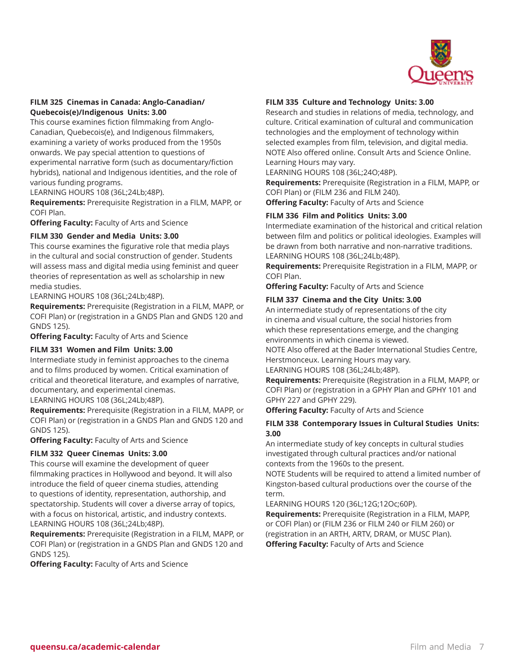

## **FILM 325 Cinemas in Canada: Anglo-Canadian/ Quebecois(e)/Indigenous Units: 3.00**

This course examines fiction filmmaking from Anglo-Canadian, Quebecois(e), and Indigenous filmmakers, examining a variety of works produced from the 1950s onwards. We pay special attention to questions of experimental narrative form (such as documentary/fiction hybrids), national and Indigenous identities, and the role of various funding programs.

LEARNING HOURS 108 (36L;24Lb;48P).

**Requirements:** Prerequisite Registration in a FILM, MAPP, or COFI Plan.

**Offering Faculty:** Faculty of Arts and Science

## **FILM 330 Gender and Media Units: 3.00**

This course examines the figurative role that media plays in the cultural and social construction of gender. Students will assess mass and digital media using feminist and queer theories of representation as well as scholarship in new media studies.

LEARNING HOURS 108 (36L;24Lb;48P).

**Requirements:** Prerequisite (Registration in a FILM, MAPP, or COFI Plan) or (registration in a GNDS Plan and GNDS 120 and GNDS 125).

**Offering Faculty:** Faculty of Arts and Science

#### **FILM 331 Women and Film Units: 3.00**

Intermediate study in feminist approaches to the cinema and to films produced by women. Critical examination of critical and theoretical literature, and examples of narrative, documentary, and experimental cinemas.

LEARNING HOURS 108 (36L;24Lb;48P).

**Requirements:** Prerequisite (Registration in a FILM, MAPP, or COFI Plan) or (registration in a GNDS Plan and GNDS 120 and GNDS 125).

**Offering Faculty:** Faculty of Arts and Science

#### **FILM 332 Queer Cinemas Units: 3.00**

This course will examine the development of queer filmmaking practices in Hollywood and beyond. It will also introduce the field of queer cinema studies, attending to questions of identity, representation, authorship, and spectatorship. Students will cover a diverse array of topics, with a focus on historical, artistic, and industry contexts. LEARNING HOURS 108 (36L;24Lb;48P).

**Requirements:** Prerequisite (Registration in a FILM, MAPP, or COFI Plan) or (registration in a GNDS Plan and GNDS 120 and GNDS 125).

**Offering Faculty:** Faculty of Arts and Science

#### **FILM 335 Culture and Technology Units: 3.00**

Research and studies in relations of media, technology, and culture. Critical examination of cultural and communication technologies and the employment of technology within selected examples from film, television, and digital media. NOTE Also offered online. Consult Arts and Science Online. Learning Hours may vary.

LEARNING HOURS 108 (36L;24O;48P).

**Requirements:** Prerequisite (Registration in a FILM, MAPP, or COFI Plan) or (FILM 236 and FILM 240).

**Offering Faculty:** Faculty of Arts and Science

## **FILM 336 Film and Politics Units: 3.00**

Intermediate examination of the historical and critical relation between film and politics or political ideologies. Examples will be drawn from both narrative and non-narrative traditions. LEARNING HOURS 108 (36L;24Lb;48P).

**Requirements:** Prerequisite Registration in a FILM, MAPP, or COFI Plan.

**Offering Faculty:** Faculty of Arts and Science

#### **FILM 337 Cinema and the City Units: 3.00**

An intermediate study of representations of the city in cinema and visual culture, the social histories from which these representations emerge, and the changing environments in which cinema is viewed.

NOTE Also offered at the Bader International Studies Centre, Herstmonceux. Learning Hours may vary.

LEARNING HOURS 108 (36L;24Lb;48P).

**Requirements:** Prerequisite (Registration in a FILM, MAPP, or COFI Plan) or (registration in a GPHY Plan and GPHY 101 and GPHY 227 and GPHY 229).

**Offering Faculty:** Faculty of Arts and Science

## **FILM 338 Contemporary Issues in Cultural Studies Units: 3.00**

An intermediate study of key concepts in cultural studies investigated through cultural practices and/or national contexts from the 1960s to the present.

NOTE Students will be required to attend a limited number of Kingston-based cultural productions over the course of the term.

LEARNING HOURS 120 (36L;12G;12Oc;60P).

**Requirements:** Prerequisite (Registration in a FILM, MAPP, or COFI Plan) or (FILM 236 or FILM 240 or FILM 260) or (registration in an ARTH, ARTV, DRAM, or MUSC Plan). **Offering Faculty:** Faculty of Arts and Science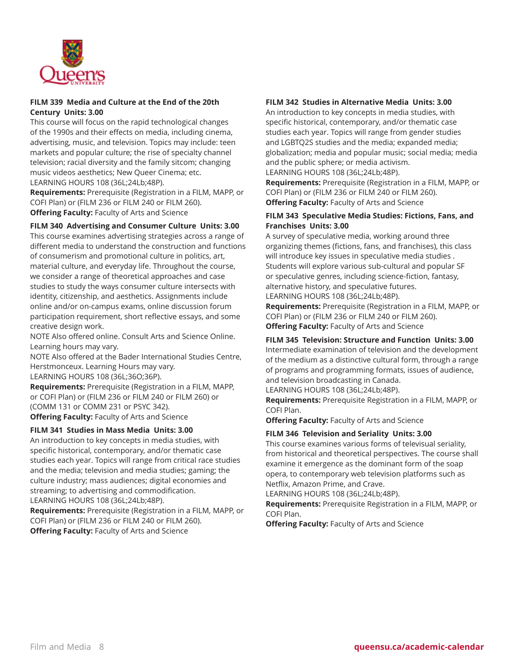

#### **FILM 339 Media and Culture at the End of the 20th Century Units: 3.00**

This course will focus on the rapid technological changes of the 1990s and their effects on media, including cinema, advertising, music, and television. Topics may include: teen markets and popular culture; the rise of specialty channel television; racial diversity and the family sitcom; changing music videos aesthetics; New Queer Cinema; etc. LEARNING HOURS 108 (36L;24Lb;48P).

**Requirements:** Prerequisite (Registration in a FILM, MAPP, or COFI Plan) or (FILM 236 or FILM 240 or FILM 260). **Offering Faculty:** Faculty of Arts and Science

## **FILM 340 Advertising and Consumer Culture Units: 3.00**

This course examines advertising strategies across a range of different media to understand the construction and functions of consumerism and promotional culture in politics, art, material culture, and everyday life. Throughout the course, we consider a range of theoretical approaches and case studies to study the ways consumer culture intersects with identity, citizenship, and aesthetics. Assignments include online and/or on-campus exams, online discussion forum participation requirement, short reflective essays, and some creative design work.

NOTE Also offered online. Consult Arts and Science Online. Learning hours may vary.

NOTE Also offered at the Bader International Studies Centre, Herstmonceux. Learning Hours may vary. LEARNING HOURS 108 (36L;36O;36P).

**Requirements:** Prerequisite (Registration in a FILM, MAPP, or COFI Plan) or (FILM 236 or FILM 240 or FILM 260) or (COMM 131 or COMM 231 or PSYC 342). **Offering Faculty:** Faculty of Arts and Science

#### **FILM 341 Studies in Mass Media Units: 3.00**

An introduction to key concepts in media studies, with specific historical, contemporary, and/or thematic case studies each year. Topics will range from critical race studies and the media; television and media studies; gaming; the culture industry; mass audiences; digital economies and streaming; to advertising and commodification. LEARNING HOURS 108 (36L;24Lb;48P).

**Requirements:** Prerequisite (Registration in a FILM, MAPP, or COFI Plan) or (FILM 236 or FILM 240 or FILM 260). **Offering Faculty:** Faculty of Arts and Science

# **FILM 342 Studies in Alternative Media Units: 3.00**

An introduction to key concepts in media studies, with specific historical, contemporary, and/or thematic case studies each year. Topics will range from gender studies and LGBTQ2S studies and the media; expanded media; globalization; media and popular music; social media; media and the public sphere; or media activism.

LEARNING HOURS 108 (36L;24Lb;48P).

**Requirements:** Prerequisite (Registration in a FILM, MAPP, or COFI Plan) or (FILM 236 or FILM 240 or FILM 260). **Offering Faculty:** Faculty of Arts and Science

#### **FILM 343 Speculative Media Studies: Fictions, Fans, and Franchises Units: 3.00**

A survey of speculative media, working around three organizing themes (fictions, fans, and franchises), this class will introduce key issues in speculative media studies . Students will explore various sub-cultural and popular SF or speculative genres, including science-fiction, fantasy, alternative history, and speculative futures. LEARNING HOURS 108 (36L;24Lb;48P).

**Requirements:** Prerequisite (Registration in a FILM, MAPP, or COFI Plan) or (FILM 236 or FILM 240 or FILM 260). **Offering Faculty:** Faculty of Arts and Science

# **FILM 345 Television: Structure and Function Units: 3.00**

Intermediate examination of television and the development of the medium as a distinctive cultural form, through a range of programs and programming formats, issues of audience, and television broadcasting in Canada.

LEARNING HOURS 108 (36L;24Lb;48P).

**Requirements:** Prerequisite Registration in a FILM, MAPP, or COFI Plan.

**Offering Faculty:** Faculty of Arts and Science

# **FILM 346 Television and Seriality Units: 3.00**

This course examines various forms of televisual seriality, from historical and theoretical perspectives. The course shall examine it emergence as the dominant form of the soap opera, to contemporary web television platforms such as Netflix, Amazon Prime, and Crave.

LEARNING HOURS 108 (36L;24Lb;48P).

**Requirements:** Prerequisite Registration in a FILM, MAPP, or COFI Plan.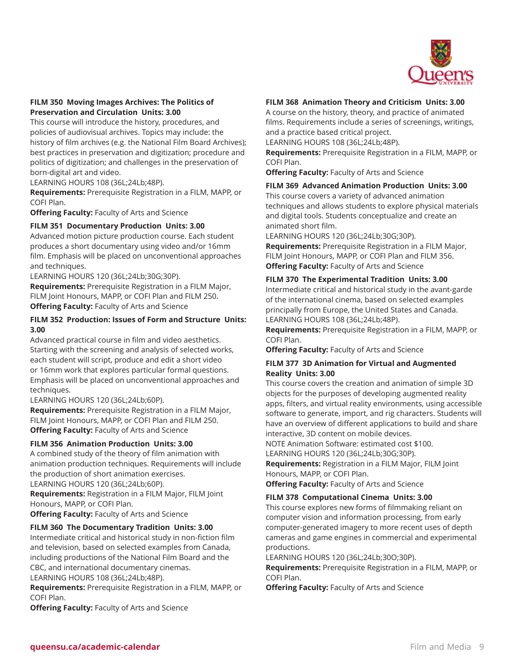

## **FILM 350 Moving Images Archives: The Politics of Preservation and Circulation Units: 3.00**

This course will introduce the history, procedures, and policies of audiovisual archives. Topics may include: the history of film archives (e.g. the National Film Board Archives); best practices in preservation and digitization; procedure and politics of digitization; and challenges in the preservation of born-digital art and video.

LEARNING HOURS 108 (36L;24Lb;48P).

**Requirements:** Prerequisite Registration in a FILM, MAPP, or COFI Plan.

**Offering Faculty:** Faculty of Arts and Science

#### **FILM 351 Documentary Production Units: 3.00**

Advanced motion picture production course. Each student produces a short documentary using video and/or 16mm film. Emphasis will be placed on unconventional approaches and techniques.

LEARNING HOURS 120 (36L;24Lb;30G;30P). **Requirements:** Prerequisite Registration in a FILM Major, FILM Joint Honours, MAPP, or COFI Plan and FILM 250.

**Offering Faculty:** Faculty of Arts and Science

## **FILM 352 Production: Issues of Form and Structure Units: 3.00**

Advanced practical course in film and video aesthetics. Starting with the screening and analysis of selected works, each student will script, produce and edit a short video or 16mm work that explores particular formal questions. Emphasis will be placed on unconventional approaches and techniques.

LEARNING HOURS 120 (36L;24Lb;60P).

**Requirements:** Prerequisite Registration in a FILM Major, FILM Joint Honours, MAPP, or COFI Plan and FILM 250. **Offering Faculty:** Faculty of Arts and Science

#### **FILM 356 Animation Production Units: 3.00**

A combined study of the theory of film animation with animation production techniques. Requirements will include the production of short animation exercises.

LEARNING HOURS 120 (36L;24Lb;60P).

**Requirements:** Registration in a FILM Major, FILM Joint Honours, MAPP, or COFI Plan.

**Offering Faculty:** Faculty of Arts and Science

#### **FILM 360 The Documentary Tradition Units: 3.00**

Intermediate critical and historical study in non-fiction film and television, based on selected examples from Canada, including productions of the National Film Board and the CBC, and international documentary cinemas.

LEARNING HOURS 108 (36L;24Lb;48P).

**Requirements:** Prerequisite Registration in a FILM, MAPP, or COFI Plan.

**Offering Faculty:** Faculty of Arts and Science

#### **FILM 368 Animation Theory and Criticism Units: 3.00**

A course on the history, theory, and practice of animated films. Requirements include a series of screenings, writings, and a practice based critical project.

LEARNING HOURS 108 (36L;24Lb;48P).

**Requirements:** Prerequisite Registration in a FILM, MAPP, or COFI Plan.

**Offering Faculty:** Faculty of Arts and Science

#### **FILM 369 Advanced Animation Production Units: 3.00**

This course covers a variety of advanced animation techniques and allows students to explore physical materials and digital tools. Students conceptualize and create an animated short film.

LEARNING HOURS 120 (36L;24Lb;30G;30P).

**Requirements:** Prerequisite Registration in a FILM Major, FILM Joint Honours, MAPP, or COFI Plan and FILM 356. **Offering Faculty:** Faculty of Arts and Science

#### **FILM 370 The Experimental Tradition Units: 3.00**

Intermediate critical and historical study in the avant-garde of the international cinema, based on selected examples principally from Europe, the United States and Canada. LEARNING HOURS 108 (36L;24Lb;48P).

**Requirements:** Prerequisite Registration in a FILM, MAPP, or COFI Plan.

**Offering Faculty:** Faculty of Arts and Science

#### **FILM 377 3D Animation for Virtual and Augmented Reality Units: 3.00**

This course covers the creation and animation of simple 3D objects for the purposes of developing augmented reality apps, filters, and virtual reality environments, using accessible software to generate, import, and rig characters. Students will have an overview of different applications to build and share interactive, 3D content on mobile devices.

NOTE Animation Software: estimated cost \$100.

LEARNING HOURS 120 (36L;24Lb;30G;30P).

**Requirements:** Registration in a FILM Major, FILM Joint Honours, MAPP, or COFI Plan.

**Offering Faculty:** Faculty of Arts and Science

#### **FILM 378 Computational Cinema Units: 3.00**

This course explores new forms of filmmaking reliant on computer vision and information processing, from early computer-generated imagery to more recent uses of depth cameras and game engines in commercial and experimental productions.

LEARNING HOURS 120 (36L;24Lb;30O;30P).

**Requirements:** Prerequisite Registration in a FILM, MAPP, or COFI Plan.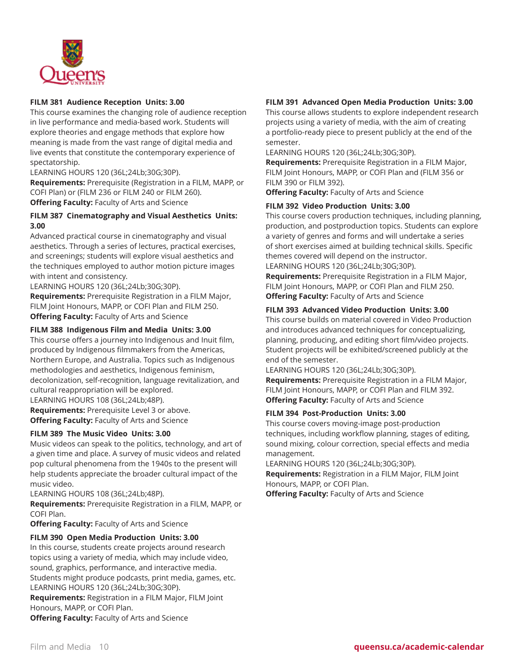

#### **FILM 381 Audience Reception Units: 3.00**

This course examines the changing role of audience reception in live performance and media-based work. Students will explore theories and engage methods that explore how meaning is made from the vast range of digital media and live events that constitute the contemporary experience of spectatorship.

LEARNING HOURS 120 (36L;24Lb;30G;30P).

**Requirements:** Prerequisite (Registration in a FILM, MAPP, or COFI Plan) or (FILM 236 or FILM 240 or FILM 260).

**Offering Faculty:** Faculty of Arts and Science

#### **FILM 387 Cinematography and Visual Aesthetics Units: 3.00**

Advanced practical course in cinematography and visual aesthetics. Through a series of lectures, practical exercises, and screenings; students will explore visual aesthetics and the techniques employed to author motion picture images with intent and consistency.

LEARNING HOURS 120 (36L;24Lb;30G;30P).

**Requirements:** Prerequisite Registration in a FILM Major, FILM Joint Honours, MAPP, or COFI Plan and FILM 250. **Offering Faculty:** Faculty of Arts and Science

#### **FILM 388 Indigenous Film and Media Units: 3.00**

This course offers a journey into Indigenous and Inuit film, produced by Indigenous filmmakers from the Americas, Northern Europe, and Australia. Topics such as Indigenous methodologies and aesthetics, Indigenous feminism, decolonization, self-recognition, language revitalization, and cultural reappropriation will be explored.

LEARNING HOURS 108 (36L;24Lb;48P).

**Requirements:** Prerequisite Level 3 or above. **Offering Faculty:** Faculty of Arts and Science

#### **FILM 389 The Music Video Units: 3.00**

Music videos can speak to the politics, technology, and art of a given time and place. A survey of music videos and related pop cultural phenomena from the 1940s to the present will help students appreciate the broader cultural impact of the music video.

LEARNING HOURS 108 (36L;24Lb;48P).

**Requirements:** Prerequisite Registration in a FILM, MAPP, or COFI Plan.

**Offering Faculty:** Faculty of Arts and Science

#### **FILM 390 Open Media Production Units: 3.00**

In this course, students create projects around research topics using a variety of media, which may include video, sound, graphics, performance, and interactive media. Students might produce podcasts, print media, games, etc. LEARNING HOURS 120 (36L;24Lb;30G;30P).

**Requirements:** Registration in a FILM Major, FILM Joint Honours, MAPP, or COFI Plan.

**Offering Faculty:** Faculty of Arts and Science

## **FILM 391 Advanced Open Media Production Units: 3.00**

This course allows students to explore independent research projects using a variety of media, with the aim of creating a portfolio-ready piece to present publicly at the end of the semester.

LEARNING HOURS 120 (36L;24Lb;30G;30P).

**Requirements:** Prerequisite Registration in a FILM Major, FILM Joint Honours, MAPP, or COFI Plan and (FILM 356 or FILM 390 or FILM 392).

**Offering Faculty:** Faculty of Arts and Science

#### **FILM 392 Video Production Units: 3.00**

This course covers production techniques, including planning, production, and postproduction topics. Students can explore a variety of genres and forms and will undertake a series of short exercises aimed at building technical skills. Specific themes covered will depend on the instructor. LEARNING HOURS 120 (36L;24Lb;30G;30P).

**Requirements:** Prerequisite Registration in a FILM Major, FILM Joint Honours, MAPP, or COFI Plan and FILM 250. **Offering Faculty:** Faculty of Arts and Science

## **FILM 393 Advanced Video Production Units: 3.00**

This course builds on material covered in Video Production and introduces advanced techniques for conceptualizing, planning, producing, and editing short film/video projects. Student projects will be exhibited/screened publicly at the end of the semester.

LEARNING HOURS 120 (36L;24Lb;30G;30P). **Requirements:** Prerequisite Registration in a FILM Major, FILM Joint Honours, MAPP, or COFI Plan and FILM 392. **Offering Faculty:** Faculty of Arts and Science

#### **FILM 394 Post-Production Units: 3.00**

This course covers moving-image post-production techniques, including workflow planning, stages of editing, sound mixing, colour correction, special effects and media management.

LEARNING HOURS 120 (36L;24Lb;30G;30P).

**Requirements:** Registration in a FILM Major, FILM Joint Honours, MAPP, or COFI Plan.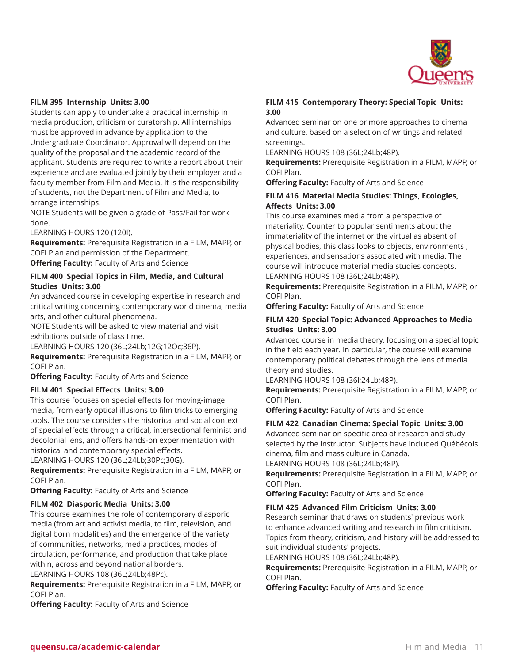

#### **FILM 395 Internship Units: 3.00**

Students can apply to undertake a practical internship in media production, criticism or curatorship. All internships must be approved in advance by application to the Undergraduate Coordinator. Approval will depend on the quality of the proposal and the academic record of the applicant. Students are required to write a report about their experience and are evaluated jointly by their employer and a faculty member from Film and Media. It is the responsibility of students, not the Department of Film and Media, to arrange internships.

NOTE Students will be given a grade of Pass/Fail for work done.

LEARNING HOURS 120 (120I).

**Requirements:** Prerequisite Registration in a FILM, MAPP, or COFI Plan and permission of the Department. **Offering Faculty:** Faculty of Arts and Science

## **FILM 400 Special Topics in Film, Media, and Cultural Studies Units: 3.00**

An advanced course in developing expertise in research and critical writing concerning contemporary world cinema, media arts, and other cultural phenomena.

NOTE Students will be asked to view material and visit exhibitions outside of class time.

LEARNING HOURS 120 (36L;24Lb;12G;12Oc;36P).

**Requirements:** Prerequisite Registration in a FILM, MAPP, or COFI Plan.

**Offering Faculty:** Faculty of Arts and Science

#### **FILM 401 Special Effects Units: 3.00**

This course focuses on special effects for moving-image media, from early optical illusions to film tricks to emerging tools. The course considers the historical and social context of special effects through a critical, intersectional feminist and decolonial lens, and offers hands-on experimentation with historical and contemporary special effects.

LEARNING HOURS 120 (36L;24Lb;30Pc;30G).

**Requirements:** Prerequisite Registration in a FILM, MAPP, or COFI Plan.

**Offering Faculty:** Faculty of Arts and Science

#### **FILM 402 Diasporic Media Units: 3.00**

This course examines the role of contemporary diasporic media (from art and activist media, to film, television, and digital born modalities) and the emergence of the variety of communities, networks, media practices, modes of circulation, performance, and production that take place within, across and beyond national borders. LEARNING HOURS 108 (36L;24Lb;48Pc).

**Requirements:** Prerequisite Registration in a FILM, MAPP, or COFI Plan.

**Offering Faculty:** Faculty of Arts and Science

#### **FILM 415 Contemporary Theory: Special Topic Units: 3.00**

Advanced seminar on one or more approaches to cinema and culture, based on a selection of writings and related screenings.

LEARNING HOURS 108 (36L;24Lb;48P).

**Requirements:** Prerequisite Registration in a FILM, MAPP, or COFI Plan.

**Offering Faculty:** Faculty of Arts and Science

#### **FILM 416 Material Media Studies: Things, Ecologies, Affects Units: 3.00**

This course examines media from a perspective of materiality. Counter to popular sentiments about the immateriality of the internet or the virtual as absent of physical bodies, this class looks to objects, environments , experiences, and sensations associated with media. The course will introduce material media studies concepts. LEARNING HOURS 108 (36L;24Lb;48P).

**Requirements:** Prerequisite Registration in a FILM, MAPP, or COFI Plan.

**Offering Faculty:** Faculty of Arts and Science

#### **FILM 420 Special Topic: Advanced Approaches to Media Studies Units: 3.00**

Advanced course in media theory, focusing on a special topic in the field each year. In particular, the course will examine contemporary political debates through the lens of media theory and studies.

LEARNING HOURS 108 (36l;24Lb;48P).

**Requirements:** Prerequisite Registration in a FILM, MAPP, or COFI Plan.

**Offering Faculty:** Faculty of Arts and Science

#### **FILM 422 Canadian Cinema: Special Topic Units: 3.00**

Advanced seminar on specific area of research and study selected by the instructor. Subjects have included Québécois cinema, film and mass culture in Canada.

LEARNING HOURS 108 (36L;24Lb;48P).

**Requirements:** Prerequisite Registration in a FILM, MAPP, or COFI Plan.

**Offering Faculty:** Faculty of Arts and Science

#### **FILM 425 Advanced Film Criticism Units: 3.00**

Research seminar that draws on students' previous work to enhance advanced writing and research in film criticism. Topics from theory, criticism, and history will be addressed to suit individual students' projects.

LEARNING HOURS 108 (36L;24Lb;48P).

**Requirements:** Prerequisite Registration in a FILM, MAPP, or COFI Plan.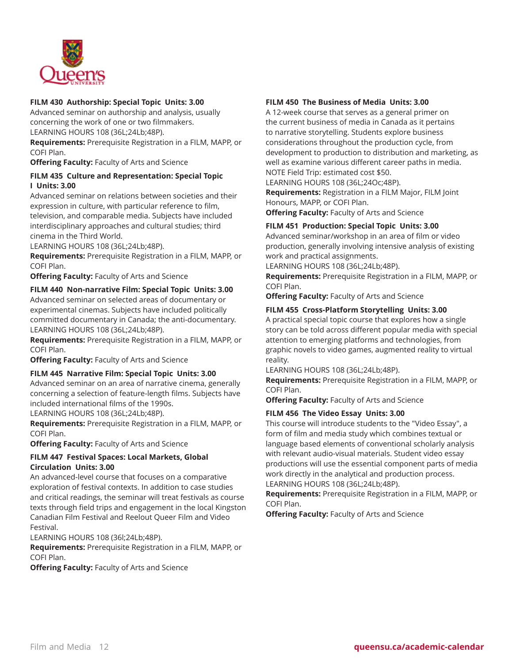

## **FILM 430 Authorship: Special Topic Units: 3.00**

Advanced seminar on authorship and analysis, usually concerning the work of one or two filmmakers. LEARNING HOURS 108 (36L;24Lb;48P).

**Requirements:** Prerequisite Registration in a FILM, MAPP, or COFI Plan.

**Offering Faculty:** Faculty of Arts and Science

#### **FILM 435 Culture and Representation: Special Topic I Units: 3.00**

Advanced seminar on relations between societies and their expression in culture, with particular reference to film, television, and comparable media. Subjects have included interdisciplinary approaches and cultural studies; third cinema in the Third World.

LEARNING HOURS 108 (36L;24Lb;48P).

**Requirements:** Prerequisite Registration in a FILM, MAPP, or COFI Plan.

**Offering Faculty:** Faculty of Arts and Science

#### **FILM 440 Non-narrative Film: Special Topic Units: 3.00**

Advanced seminar on selected areas of documentary or experimental cinemas. Subjects have included politically committed documentary in Canada; the anti-documentary. LEARNING HOURS 108 (36L;24Lb;48P).

**Requirements:** Prerequisite Registration in a FILM, MAPP, or COFI Plan.

**Offering Faculty:** Faculty of Arts and Science

#### **FILM 445 Narrative Film: Special Topic Units: 3.00**

Advanced seminar on an area of narrative cinema, generally concerning a selection of feature-length films. Subjects have included international films of the 1990s.

LEARNING HOURS 108 (36L;24Lb;48P).

**Requirements:** Prerequisite Registration in a FILM, MAPP, or COFI Plan.

**Offering Faculty:** Faculty of Arts and Science

#### **FILM 447 Festival Spaces: Local Markets, Global Circulation Units: 3.00**

An advanced-level course that focuses on a comparative exploration of festival contexts. In addition to case studies and critical readings, the seminar will treat festivals as course texts through field trips and engagement in the local Kingston Canadian Film Festival and Reelout Queer Film and Video Festival.

LEARNING HOURS 108 (36l;24Lb;48P).

**Requirements:** Prerequisite Registration in a FILM, MAPP, or COFI Plan.

**Offering Faculty:** Faculty of Arts and Science

#### **FILM 450 The Business of Media Units: 3.00**

A 12-week course that serves as a general primer on the current business of media in Canada as it pertains to narrative storytelling. Students explore business considerations throughout the production cycle, from development to production to distribution and marketing, as well as examine various different career paths in media. NOTE Field Trip: estimated cost \$50.

LEARNING HOURS 108 (36L;24Oc;48P).

**Requirements:** Registration in a FILM Major, FILM Joint Honours, MAPP, or COFI Plan.

**Offering Faculty:** Faculty of Arts and Science

#### **FILM 451 Production: Special Topic Units: 3.00**

Advanced seminar/workshop in an area of film or video production, generally involving intensive analysis of existing work and practical assignments.

LEARNING HOURS 108 (36L;24Lb;48P).

**Requirements:** Prerequisite Registration in a FILM, MAPP, or COFI Plan.

**Offering Faculty:** Faculty of Arts and Science

#### **FILM 455 Cross-Platform Storytelling Units: 3.00**

A practical special topic course that explores how a single story can be told across different popular media with special attention to emerging platforms and technologies, from graphic novels to video games, augmented reality to virtual reality.

LEARNING HOURS 108 (36L;24Lb;48P).

**Requirements:** Prerequisite Registration in a FILM, MAPP, or COFI Plan.

**Offering Faculty:** Faculty of Arts and Science

#### **FILM 456 The Video Essay Units: 3.00**

This course will introduce students to the "Video Essay", a form of film and media study which combines textual or language based elements of conventional scholarly analysis with relevant audio-visual materials. Student video essay productions will use the essential component parts of media work directly in the analytical and production process. LEARNING HOURS 108 (36L;24Lb;48P).

**Requirements:** Prerequisite Registration in a FILM, MAPP, or COFI Plan.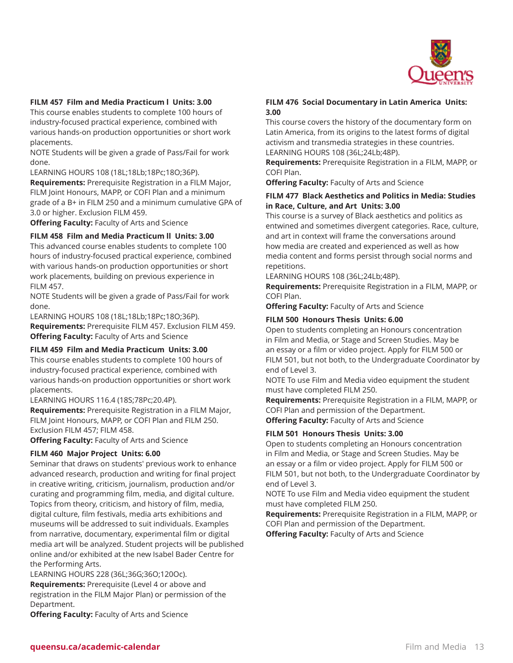

#### **FILM 457 Film and Media Practicum l Units: 3.00**

This course enables students to complete 100 hours of industry-focused practical experience, combined with various hands-on production opportunities or short work placements.

NOTE Students will be given a grade of Pass/Fail for work done.

LEARNING HOURS 108 (18L;18Lb;18Pc;18O;36P).

**Requirements:** Prerequisite Registration in a FILM Major, FILM Joint Honours, MAPP, or COFI Plan and a minimum grade of a B+ in FILM 250 and a minimum cumulative GPA of 3.0 or higher. Exclusion FILM 459.

**Offering Faculty:** Faculty of Arts and Science

#### **FILM 458 Film and Media Practicum ll Units: 3.00**

This advanced course enables students to complete 100 hours of industry-focused practical experience, combined with various hands-on production opportunities or short work placements, building on previous experience in FILM 457.

NOTE Students will be given a grade of Pass/Fail for work done.

LEARNING HOURS 108 (18L;18Lb;18Pc;18O;36P). **Requirements:** Prerequisite FILM 457. Exclusion FILM 459. **Offering Faculty:** Faculty of Arts and Science

#### **FILM 459 Film and Media Practicum Units: 3.00**

This course enables students to complete 100 hours of industry-focused practical experience, combined with various hands-on production opportunities or short work placements.

LEARNING HOURS 116.4 (18S;78Pc;20.4P).

**Requirements:** Prerequisite Registration in a FILM Major, FILM Joint Honours, MAPP, or COFI Plan and FILM 250. Exclusion FILM 457; FILM 458.

**Offering Faculty:** Faculty of Arts and Science

## **FILM 460 Major Project Units: 6.00**

Seminar that draws on students' previous work to enhance advanced research, production and writing for final project in creative writing, criticism, journalism, production and/or curating and programming film, media, and digital culture. Topics from theory, criticism, and history of film, media, digital culture, film festivals, media arts exhibitions and museums will be addressed to suit individuals. Examples from narrative, documentary, experimental film or digital media art will be analyzed. Student projects will be published online and/or exhibited at the new Isabel Bader Centre for the Performing Arts.

LEARNING HOURS 228 (36L;36G;36O;120Oc).

**Requirements:** Prerequisite (Level 4 or above and registration in the FILM Major Plan) or permission of the Department.

**Offering Faculty:** Faculty of Arts and Science

#### **FILM 476 Social Documentary in Latin America Units: 3.00**

This course covers the history of the documentary form on Latin America, from its origins to the latest forms of digital activism and transmedia strategies in these countries. LEARNING HOURS 108 (36L;24Lb;48P).

**Requirements:** Prerequisite Registration in a FILM, MAPP, or COFI Plan.

**Offering Faculty:** Faculty of Arts and Science

#### **FILM 477 Black Aesthetics and Politics in Media: Studies in Race, Culture, and Art Units: 3.00**

This course is a survey of Black aesthetics and politics as entwined and sometimes divergent categories. Race, culture, and art in context will frame the conversations around how media are created and experienced as well as how media content and forms persist through social norms and repetitions.

LEARNING HOURS 108 (36L;24Lb;48P).

**Requirements:** Prerequisite Registration in a FILM, MAPP, or COFI Plan.

**Offering Faculty:** Faculty of Arts and Science

#### **FILM 500 Honours Thesis Units: 6.00**

Open to students completing an Honours concentration in Film and Media, or Stage and Screen Studies. May be an essay or a film or video project. Apply for FILM 500 or FILM 501, but not both, to the Undergraduate Coordinator by end of Level 3.

NOTE To use Film and Media video equipment the student must have completed FILM 250.

**Requirements:** Prerequisite Registration in a FILM, MAPP, or COFI Plan and permission of the Department. **Offering Faculty:** Faculty of Arts and Science

**FILM 501 Honours Thesis Units: 3.00**

Open to students completing an Honours concentration in Film and Media, or Stage and Screen Studies. May be an essay or a film or video project. Apply for FILM 500 or FILM 501, but not both, to the Undergraduate Coordinator by end of Level 3.

NOTE To use Film and Media video equipment the student must have completed FILM 250.

**Requirements:** Prerequisite Registration in a FILM, MAPP, or COFI Plan and permission of the Department.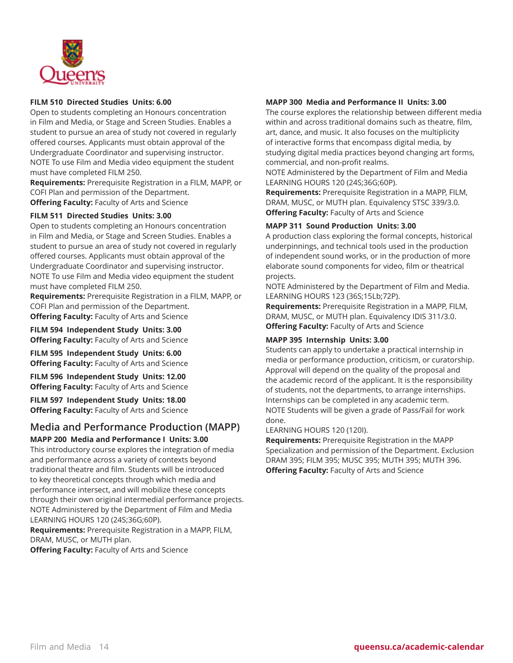

#### **FILM 510 Directed Studies Units: 6.00**

Open to students completing an Honours concentration in Film and Media, or Stage and Screen Studies. Enables a student to pursue an area of study not covered in regularly offered courses. Applicants must obtain approval of the Undergraduate Coordinator and supervising instructor. NOTE To use Film and Media video equipment the student must have completed FILM 250.

**Requirements:** Prerequisite Registration in a FILM, MAPP, or COFI Plan and permission of the Department. **Offering Faculty:** Faculty of Arts and Science

## **FILM 511 Directed Studies Units: 3.00**

Open to students completing an Honours concentration in Film and Media, or Stage and Screen Studies. Enables a student to pursue an area of study not covered in regularly offered courses. Applicants must obtain approval of the Undergraduate Coordinator and supervising instructor. NOTE To use Film and Media video equipment the student must have completed FILM 250.

**Requirements:** Prerequisite Registration in a FILM, MAPP, or COFI Plan and permission of the Department. **Offering Faculty:** Faculty of Arts and Science

**FILM 594 Independent Study Units: 3.00 Offering Faculty:** Faculty of Arts and Science

**FILM 595 Independent Study Units: 6.00 Offering Faculty:** Faculty of Arts and Science

**FILM 596 Independent Study Units: 12.00 Offering Faculty:** Faculty of Arts and Science

**FILM 597 Independent Study Units: 18.00**

**Offering Faculty:** Faculty of Arts and Science

#### **Media and Performance Production (MAPP) MAPP 200 Media and Performance I Units: 3.00**

This introductory course explores the integration of media and performance across a variety of contexts beyond traditional theatre and film. Students will be introduced to key theoretical concepts through which media and performance intersect, and will mobilize these concepts through their own original intermedial performance projects. NOTE Administered by the Department of Film and Media LEARNING HOURS 120 (24S;36G;60P).

**Requirements:** Prerequisite Registration in a MAPP, FILM, DRAM, MUSC, or MUTH plan.

**Offering Faculty:** Faculty of Arts and Science

## **MAPP 300 Media and Performance II Units: 3.00**

The course explores the relationship between different media within and across traditional domains such as theatre, film, art, dance, and music. It also focuses on the multiplicity of interactive forms that encompass digital media, by studying digital media practices beyond changing art forms, commercial, and non-profit realms.

NOTE Administered by the Department of Film and Media LEARNING HOURS 120 (24S;36G;60P).

**Requirements:** Prerequisite Registration in a MAPP, FILM, DRAM, MUSC, or MUTH plan. Equivalency STSC 339/3.0. **Offering Faculty:** Faculty of Arts and Science

## **MAPP 311 Sound Production Units: 3.00**

A production class exploring the formal concepts, historical underpinnings, and technical tools used in the production of independent sound works, or in the production of more elaborate sound components for video, film or theatrical projects.

NOTE Administered by the Department of Film and Media. LEARNING HOURS 123 (36S;15Lb;72P).

**Requirements:** Prerequisite Registration in a MAPP, FILM, DRAM, MUSC, or MUTH plan. Equivalency IDIS 311/3.0. **Offering Faculty:** Faculty of Arts and Science

#### **MAPP 395 Internship Units: 3.00**

Students can apply to undertake a practical internship in media or performance production, criticism, or curatorship. Approval will depend on the quality of the proposal and the academic record of the applicant. It is the responsibility of students, not the departments, to arrange internships. Internships can be completed in any academic term. NOTE Students will be given a grade of Pass/Fail for work done.

LEARNING HOURS 120 (120I).

**Requirements:** Prerequisite Registration in the MAPP Specialization and permission of the Department. Exclusion DRAM 395; FILM 395; MUSC 395; MUTH 395; MUTH 396. **Offering Faculty:** Faculty of Arts and Science